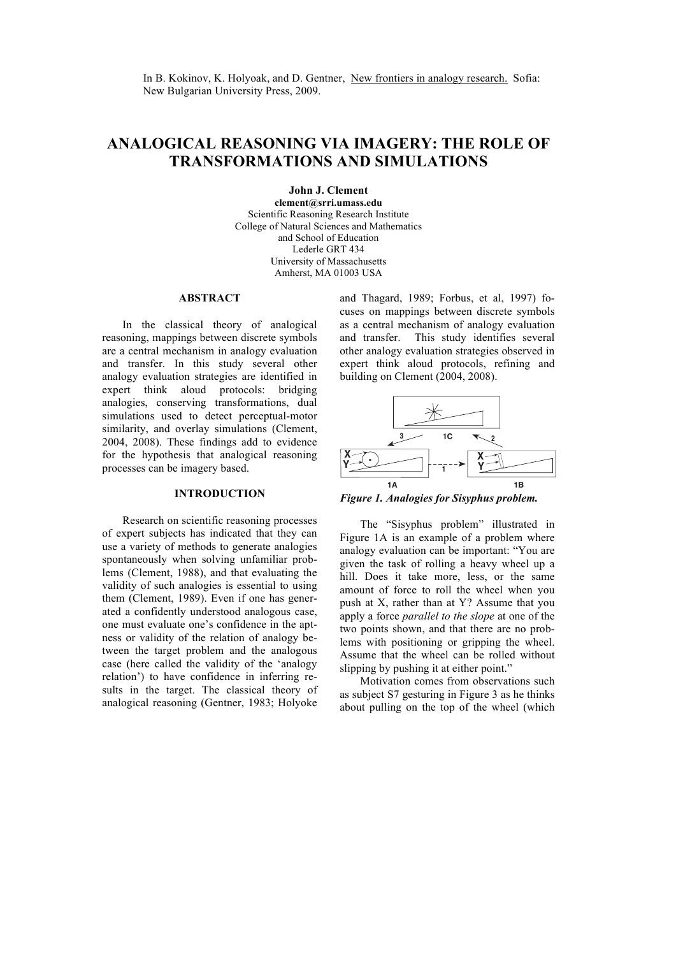In B. Kokinov, K. Holyoak, and D. Gentner, New frontiers in analogy research. Sofia: New Bulgarian University Press, 2009.

# **ANALOGICAL REASONING VIA IMAGERY: THE ROLE OF TRANSFORMATIONS AND SIMULATIONS**

**John J. Clement** 

**clement@srri.umass.edu** Scientific Reasoning Research Institute College of Natural Sciences and Mathematics and School of Education Lederle GRT 434 University of Massachusetts Amherst, MA 01003 USA

#### **ABSTRACT**

In the classical theory of analogical reasoning, mappings between discrete symbols are a central mechanism in analogy evaluation and transfer. In this study several other analogy evaluation strategies are identified in expert think aloud protocols: bridging analogies, conserving transformations, dual simulations used to detect perceptual-motor similarity, and overlay simulations (Clement, 2004, 2008). These findings add to evidence for the hypothesis that analogical reasoning processes can be imagery based.

### **INTRODUCTION**

Research on scientific reasoning processes of expert subjects has indicated that they can use a variety of methods to generate analogies spontaneously when solving unfamiliar problems (Clement, 1988), and that evaluating the validity of such analogies is essential to using them (Clement, 1989). Even if one has generated a confidently understood analogous case, one must evaluate one's confidence in the aptness or validity of the relation of analogy between the target problem and the analogous case (here called the validity of the 'analogy relation') to have confidence in inferring results in the target. The classical theory of analogical reasoning (Gentner, 1983; Holyoke

and Thagard, 1989; Forbus, et al, 1997) focuses on mappings between discrete symbols as a central mechanism of analogy evaluation and transfer. This study identifies several other analogy evaluation strategies observed in expert think aloud protocols, refining and building on Clement (2004, 2008).



*Figure 1. Analogies for Sisyphus problem.*

The "Sisyphus problem" illustrated in Figure 1A is an example of a problem where analogy evaluation can be important: "You are given the task of rolling a heavy wheel up a hill. Does it take more, less, or the same amount of force to roll the wheel when you push at X, rather than at Y? Assume that you apply a force *parallel to the slope* at one of the two points shown, and that there are no problems with positioning or gripping the wheel. Assume that the wheel can be rolled without slipping by pushing it at either point."

Motivation comes from observations such as subject S7 gesturing in Figure 3 as he thinks about pulling on the top of the wheel (which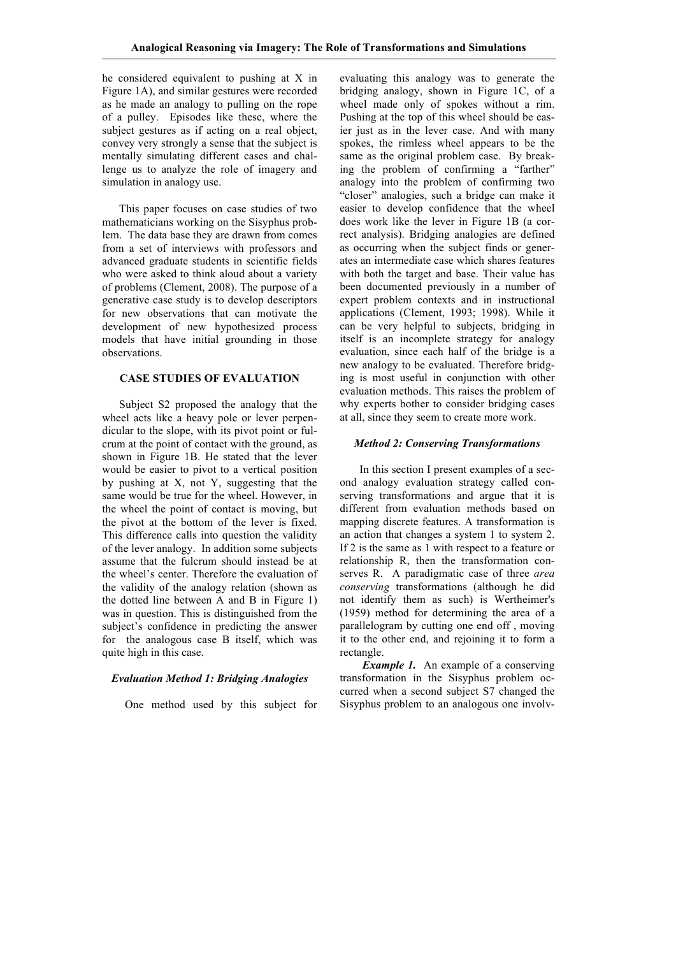he considered equivalent to pushing at X in Figure 1A), and similar gestures were recorded as he made an analogy to pulling on the rope of a pulley. Episodes like these, where the subject gestures as if acting on a real object, convey very strongly a sense that the subject is mentally simulating different cases and challenge us to analyze the role of imagery and simulation in analogy use.

 This paper focuses on case studies of two mathematicians working on the Sisyphus problem. The data base they are drawn from comes from a set of interviews with professors and advanced graduate students in scientific fields who were asked to think aloud about a variety of problems (Clement, 2008). The purpose of a generative case study is to develop descriptors for new observations that can motivate the development of new hypothesized process models that have initial grounding in those observations.

# **CASE STUDIES OF EVALUATION**

 Subject S2 proposed the analogy that the wheel acts like a heavy pole or lever perpendicular to the slope, with its pivot point or fulcrum at the point of contact with the ground, as shown in Figure 1B. He stated that the lever would be easier to pivot to a vertical position by pushing at X, not Y, suggesting that the same would be true for the wheel. However, in the wheel the point of contact is moving, but the pivot at the bottom of the lever is fixed. This difference calls into question the validity of the lever analogy. In addition some subjects assume that the fulcrum should instead be at the wheel's center. Therefore the evaluation of the validity of the analogy relation (shown as the dotted line between A and B in Figure 1) was in question. This is distinguished from the subject's confidence in predicting the answer for the analogous case B itself, which was quite high in this case.

### *Evaluation Method 1: Bridging Analogies*

One method used by this subject for

evaluating this analogy was to generate the bridging analogy, shown in Figure 1C, of a wheel made only of spokes without a rim. Pushing at the top of this wheel should be easier just as in the lever case. And with many spokes, the rimless wheel appears to be the same as the original problem case. By breaking the problem of confirming a "farther" analogy into the problem of confirming two "closer" analogies, such a bridge can make it easier to develop confidence that the wheel does work like the lever in Figure 1B (a correct analysis). Bridging analogies are defined as occurring when the subject finds or generates an intermediate case which shares features with both the target and base. Their value has been documented previously in a number of expert problem contexts and in instructional applications (Clement, 1993; 1998). While it can be very helpful to subjects, bridging in itself is an incomplete strategy for analogy evaluation, since each half of the bridge is a new analogy to be evaluated. Therefore bridging is most useful in conjunction with other evaluation methods. This raises the problem of why experts bother to consider bridging cases at all, since they seem to create more work.

### *Method 2: Conserving Transformations*

 In this section I present examples of a second analogy evaluation strategy called conserving transformations and argue that it is different from evaluation methods based on mapping discrete features. A transformation is an action that changes a system 1 to system 2. If 2 is the same as 1 with respect to a feature or relationship R, then the transformation conserves R. A paradigmatic case of three *area conserving* transformations (although he did not identify them as such) is Wertheimer's (1959) method for determining the area of a parallelogram by cutting one end off , moving it to the other end, and rejoining it to form a rectangle.

*Example 1.* An example of a conserving transformation in the Sisyphus problem occurred when a second subject S7 changed the Sisyphus problem to an analogous one involv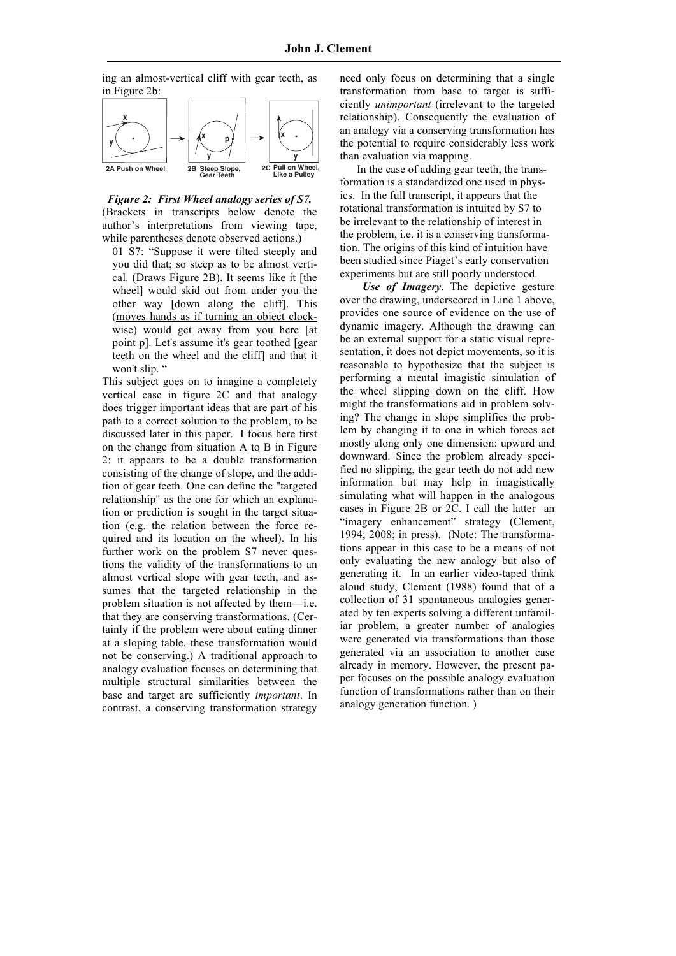ing an almost-vertical cliff with gear teeth, as in Figure 2b:



*Figure 2: First Wheel analogy series of S7.* (Brackets in transcripts below denote the author's interpretations from viewing tape, while parentheses denote observed actions.)

01 S7: "Suppose it were tilted steeply and you did that; so steep as to be almost vertical. (Draws Figure 2B). It seems like it [the wheel] would skid out from under you the other way [down along the cliff]. This (moves hands as if turning an object clockwise) would get away from you here [at point p]. Let's assume it's gear toothed [gear teeth on the wheel and the cliff] and that it won't slip. "

This subject goes on to imagine a completely vertical case in figure 2C and that analogy does trigger important ideas that are part of his path to a correct solution to the problem, to be discussed later in this paper. I focus here first on the change from situation A to B in Figure 2: it appears to be a double transformation consisting of the change of slope, and the addition of gear teeth. One can define the "targeted relationship" as the one for which an explanation or prediction is sought in the target situation (e.g. the relation between the force required and its location on the wheel). In his further work on the problem S7 never questions the validity of the transformations to an almost vertical slope with gear teeth, and assumes that the targeted relationship in the problem situation is not affected by them—i.e. that they are conserving transformations. (Certainly if the problem were about eating dinner at a sloping table, these transformation would not be conserving.) A traditional approach to analogy evaluation focuses on determining that multiple structural similarities between the base and target are sufficiently *important*. In contrast, a conserving transformation strategy

need only focus on determining that a single transformation from base to target is sufficiently *unimportant* (irrelevant to the targeted relationship). Consequently the evaluation of an analogy via a conserving transformation has the potential to require considerably less work than evaluation via mapping.

 In the case of adding gear teeth, the transformation is a standardized one used in physics. In the full transcript, it appears that the rotational transformation is intuited by S7 to be irrelevant to the relationship of interest in the problem, i.e. it is a conserving transformation. The origins of this kind of intuition have been studied since Piaget's early conservation experiments but are still poorly understood.

 *Use of Imagery*. The depictive gesture over the drawing, underscored in Line 1 above, provides one source of evidence on the use of dynamic imagery. Although the drawing can be an external support for a static visual representation, it does not depict movements, so it is reasonable to hypothesize that the subject is performing a mental imagistic simulation of the wheel slipping down on the cliff. How might the transformations aid in problem solving? The change in slope simplifies the problem by changing it to one in which forces act mostly along only one dimension: upward and downward. Since the problem already specified no slipping, the gear teeth do not add new information but may help in imagistically simulating what will happen in the analogous cases in Figure 2B or 2C. I call the latter an "imagery enhancement" strategy (Clement, 1994; 2008; in press). (Note: The transformations appear in this case to be a means of not only evaluating the new analogy but also of generating it. In an earlier video-taped think aloud study, Clement (1988) found that of a collection of 31 spontaneous analogies generated by ten experts solving a different unfamiliar problem, a greater number of analogies were generated via transformations than those generated via an association to another case already in memory. However, the present paper focuses on the possible analogy evaluation function of transformations rather than on their analogy generation function. )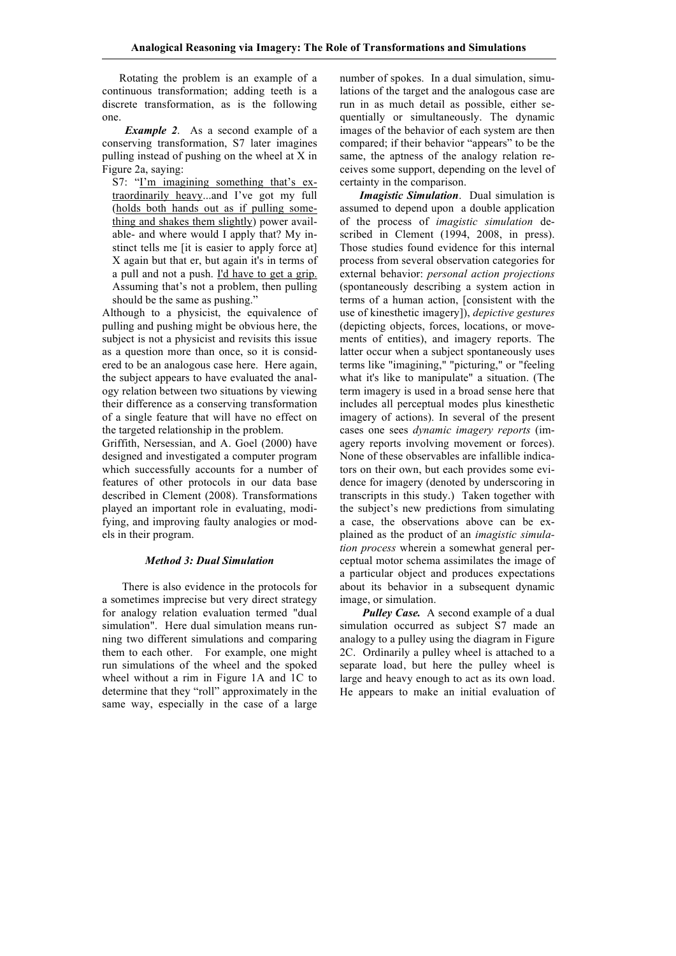Rotating the problem is an example of a continuous transformation; adding teeth is a discrete transformation, as is the following one.

*Example 2.* As a second example of a conserving transformation, S7 later imagines pulling instead of pushing on the wheel at X in Figure 2a, saying:

S7: "I'm imagining something that's extraordinarily heavy...and I've got my full (holds both hands out as if pulling something and shakes them slightly) power available- and where would I apply that? My instinct tells me [it is easier to apply force at] X again but that er, but again it's in terms of a pull and not a push. I'd have to get a grip. Assuming that's not a problem, then pulling should be the same as pushing."

Although to a physicist, the equivalence of pulling and pushing might be obvious here, the subject is not a physicist and revisits this issue as a question more than once, so it is considered to be an analogous case here. Here again, the subject appears to have evaluated the analogy relation between two situations by viewing their difference as a conserving transformation of a single feature that will have no effect on the targeted relationship in the problem.

Griffith, Nersessian, and A. Goel (2000) have designed and investigated a computer program which successfully accounts for a number of features of other protocols in our data base described in Clement (2008). Transformations played an important role in evaluating, modifying, and improving faulty analogies or models in their program.

### *Method 3: Dual Simulation*

There is also evidence in the protocols for a sometimes imprecise but very direct strategy for analogy relation evaluation termed "dual simulation". Here dual simulation means running two different simulations and comparing them to each other. For example, one might run simulations of the wheel and the spoked wheel without a rim in Figure 1A and 1C to determine that they "roll" approximately in the same way, especially in the case of a large

number of spokes. In a dual simulation, simulations of the target and the analogous case are run in as much detail as possible, either sequentially or simultaneously. The dynamic images of the behavior of each system are then compared; if their behavior "appears" to be the same, the aptness of the analogy relation receives some support, depending on the level of certainty in the comparison.

 *Imagistic Simulation*. Dual simulation is assumed to depend upon a double application of the process of *imagistic simulation* described in Clement (1994, 2008, in press). Those studies found evidence for this internal process from several observation categories for external behavior: *personal action projections*  (spontaneously describing a system action in terms of a human action, [consistent with the use of kinesthetic imagery]), *depictive gestures*  (depicting objects, forces, locations, or movements of entities), and imagery reports. The latter occur when a subject spontaneously uses terms like "imagining," "picturing," or "feeling what it's like to manipulate" a situation. (The term imagery is used in a broad sense here that includes all perceptual modes plus kinesthetic imagery of actions). In several of the present cases one sees *dynamic imagery reports* (imagery reports involving movement or forces). None of these observables are infallible indicators on their own, but each provides some evidence for imagery (denoted by underscoring in transcripts in this study.) Taken together with the subject's new predictions from simulating a case, the observations above can be explained as the product of an *imagistic simulation process* wherein a somewhat general perceptual motor schema assimilates the image of a particular object and produces expectations about its behavior in a subsequent dynamic image, or simulation.

*Pulley Case.* A second example of a dual simulation occurred as subject S7 made an analogy to a pulley using the diagram in Figure 2C. Ordinarily a pulley wheel is attached to a separate load, but here the pulley wheel is large and heavy enough to act as its own load. He appears to make an initial evaluation of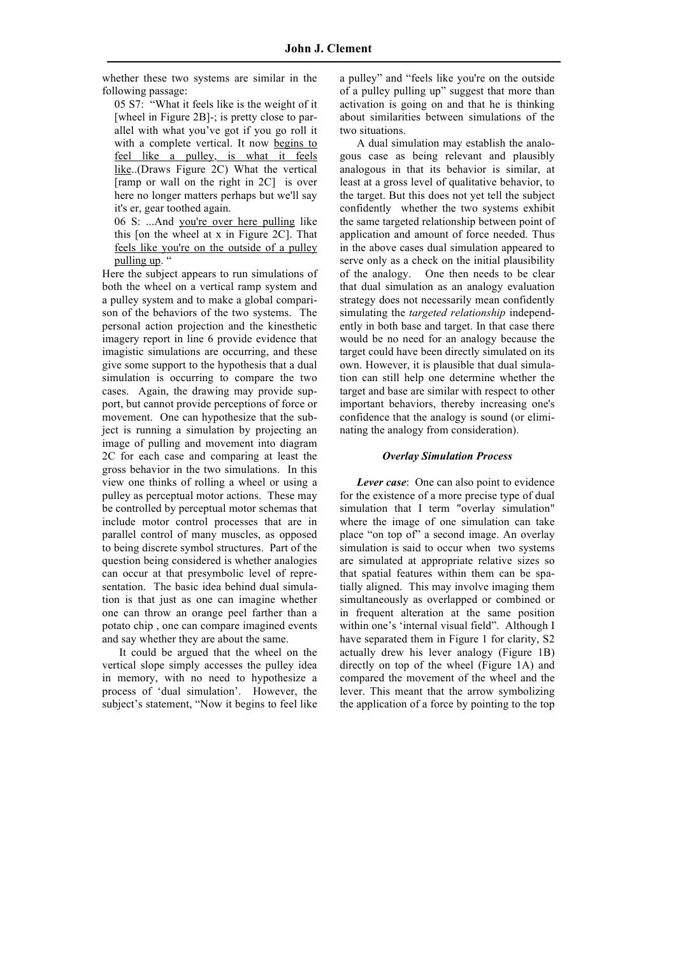whether these two systems are similar in the following passage:

05 S7: "What it feels like is the weight of it [wheel in Figure 2B]-; is pretty close to parallel with what you've got if you go roll it with a complete vertical. It now begins to feel like a pulley, is what it feels like..(Draws Figure 2C) What the vertical [ramp or wall on the right in 2C] is over here no longer matters perhaps but we'll say it's er, gear toothed again.

06 S: ...And you're over here pulling like this [on the wheel at x in Figure 2C]. That feels like you're on the outside of a pulley pulling up. "

Here the subject appears to run simulations of both the wheel on a vertical ramp system and a pulley system and to make a global comparison of the behaviors of the two systems. The personal action projection and the kinesthetic imagery report in line 6 provide evidence that imagistic simulations are occurring, and these give some support to the hypothesis that a dual simulation is occurring to compare the two cases. Again, the drawing may provide support, but cannot provide perceptions of force or movement. One can hypothesize that the subject is running a simulation by projecting an image of pulling and movement into diagram 2C for each case and comparing at least the gross behavior in the two simulations. In this view one thinks of rolling a wheel or using a pulley as perceptual motor actions. These may be controlled by perceptual motor schemas that include motor control processes that are in parallel control of many muscles, as opposed to being discrete symbol structures. Part of the question being considered is whether analogies can occur at that presymbolic level of representation. The basic idea behind dual simulation is that just as one can imagine whether one can throw an orange peel farther than a potato chip , one can compare imagined events and say whether they are about the same.

 It could be argued that the wheel on the vertical slope simply accesses the pulley idea in memory, with no need to hypothesize a process of 'dual simulation'. However, the subject's statement, "Now it begins to feel like a pulley" and "feels like you're on the outside of a pulley pulling up" suggest that more than activation is going on and that he is thinking about similarities between simulations of the two situations.

 A dual simulation may establish the analogous case as being relevant and plausibly analogous in that its behavior is similar, at least at a gross level of qualitative behavior, to the target. But this does not yet tell the subject confidently whether the two systems exhibit the same targeted relationship between point of application and amount of force needed. Thus in the above cases dual simulation appeared to serve only as a check on the initial plausibility of the analogy. One then needs to be clear that dual simulation as an analogy evaluation strategy does not necessarily mean confidently simulating the *targeted relationship* independently in both base and target. In that case there would be no need for an analogy because the target could have been directly simulated on its own. However, it is plausible that dual simulation can still help one determine whether the target and base are similar with respect to other important behaviors, thereby increasing one's confidence that the analogy is sound (or eliminating the analogy from consideration).

# *Overlay Simulation Process*

 *Lever case*: One can also point to evidence for the existence of a more precise type of dual simulation that I term "overlay simulation" where the image of one simulation can take place "on top of" a second image. An overlay simulation is said to occur when two systems are simulated at appropriate relative sizes so that spatial features within them can be spatially aligned. This may involve imaging them simultaneously as overlapped or combined or in frequent alteration at the same position within one's 'internal visual field". Although I have separated them in Figure 1 for clarity, S2 actually drew his lever analogy (Figure 1B) directly on top of the wheel (Figure 1A) and compared the movement of the wheel and the lever. This meant that the arrow symbolizing the application of a force by pointing to the top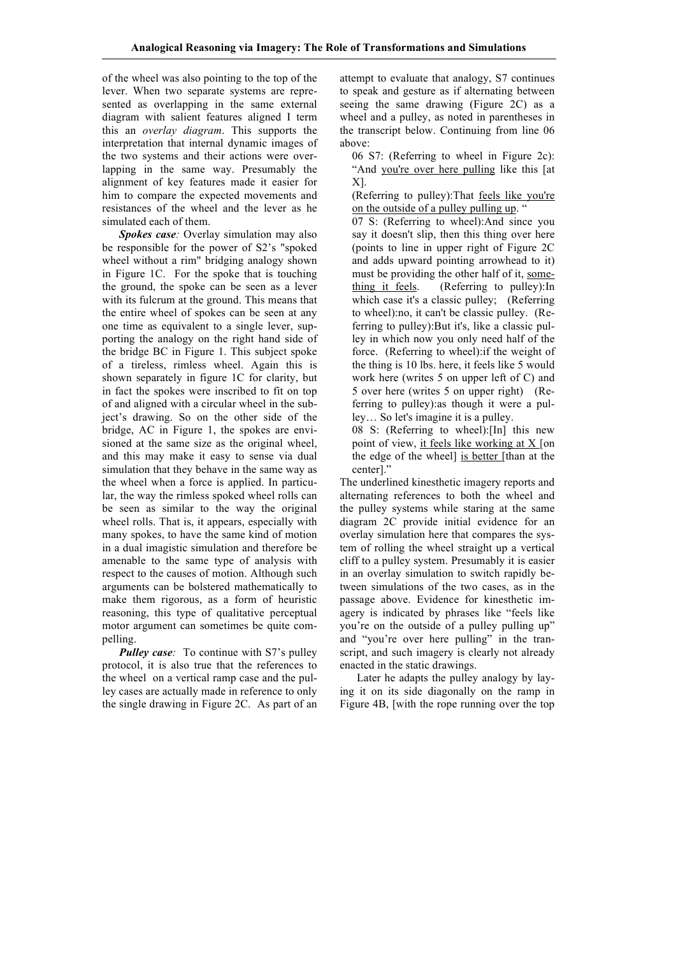of the wheel was also pointing to the top of the lever. When two separate systems are represented as overlapping in the same external diagram with salient features aligned I term this an *overlay diagram*. This supports the interpretation that internal dynamic images of the two systems and their actions were overlapping in the same way. Presumably the alignment of key features made it easier for him to compare the expected movements and resistances of the wheel and the lever as he simulated each of them.

 *Spokes case:* Overlay simulation may also be responsible for the power of S2's "spoked wheel without a rim" bridging analogy shown in Figure 1C. For the spoke that is touching the ground, the spoke can be seen as a lever with its fulcrum at the ground. This means that the entire wheel of spokes can be seen at any one time as equivalent to a single lever, supporting the analogy on the right hand side of the bridge BC in Figure 1. This subject spoke of a tireless, rimless wheel. Again this is shown separately in figure 1C for clarity, but in fact the spokes were inscribed to fit on top of and aligned with a circular wheel in the subject's drawing. So on the other side of the bridge, AC in Figure 1, the spokes are envisioned at the same size as the original wheel, and this may make it easy to sense via dual simulation that they behave in the same way as the wheel when a force is applied. In particular, the way the rimless spoked wheel rolls can be seen as similar to the way the original wheel rolls. That is, it appears, especially with many spokes, to have the same kind of motion in a dual imagistic simulation and therefore be amenable to the same type of analysis with respect to the causes of motion. Although such arguments can be bolstered mathematically to make them rigorous, as a form of heuristic reasoning, this type of qualitative perceptual motor argument can sometimes be quite compelling.

*Pulley case:* To continue with S7's pulley protocol, it is also true that the references to the wheel on a vertical ramp case and the pulley cases are actually made in reference to only the single drawing in Figure 2C. As part of an attempt to evaluate that analogy, S7 continues to speak and gesture as if alternating between seeing the same drawing (Figure 2C) as a wheel and a pulley, as noted in parentheses in the transcript below. Continuing from line 06 above:

06 S7: (Referring to wheel in Figure 2c): "And you're over here pulling like this [at X].

(Referring to pulley):That feels like you're on the outside of a pulley pulling up. "

07 S: (Referring to wheel):And since you say it doesn't slip, then this thing over here (points to line in upper right of Figure 2C and adds upward pointing arrowhead to it) must be providing the other half of it, something it feels. (Referring to pulley):In which case it's a classic pulley: (Referring) to wheel):no, it can't be classic pulley. (Referring to pulley):But it's, like a classic pulley in which now you only need half of the force. (Referring to wheel):if the weight of the thing is 10 lbs. here, it feels like 5 would work here (writes 5 on upper left of C) and 5 over here (writes 5 on upper right) (Referring to pulley):as though it were a pulley… So let's imagine it is a pulley.

08 S: (Referring to wheel):[In] this new point of view, it feels like working at X [on the edge of the wheel] is better [than at the center]."

The underlined kinesthetic imagery reports and alternating references to both the wheel and the pulley systems while staring at the same diagram 2C provide initial evidence for an overlay simulation here that compares the system of rolling the wheel straight up a vertical cliff to a pulley system. Presumably it is easier in an overlay simulation to switch rapidly between simulations of the two cases, as in the passage above. Evidence for kinesthetic imagery is indicated by phrases like "feels like you're on the outside of a pulley pulling up" and "you're over here pulling" in the transcript, and such imagery is clearly not already enacted in the static drawings.

 Later he adapts the pulley analogy by laying it on its side diagonally on the ramp in Figure 4B, [with the rope running over the top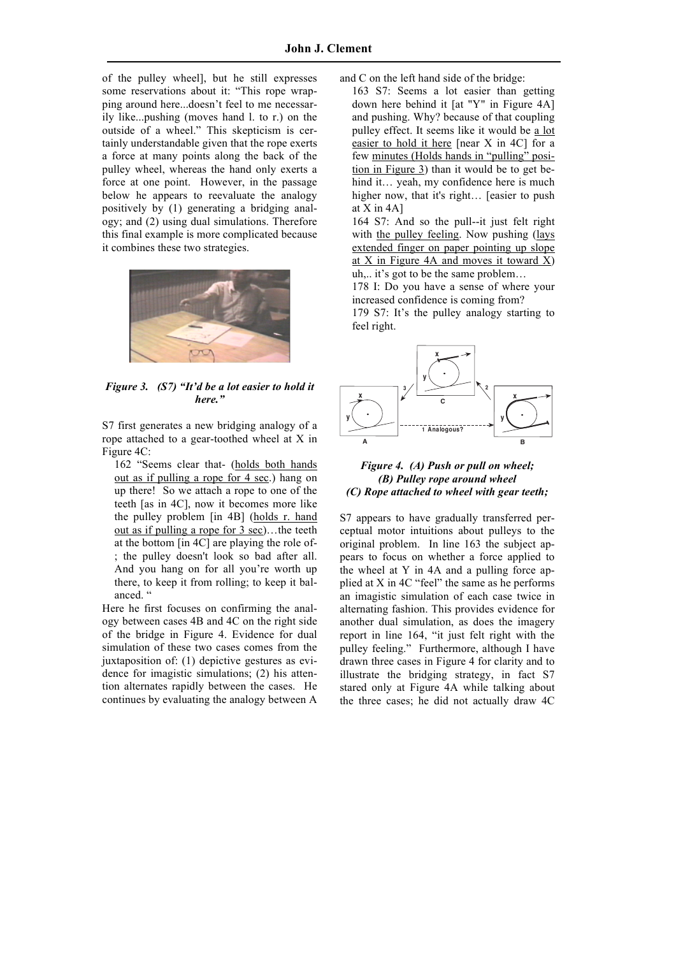of the pulley wheel], but he still expresses some reservations about it: "This rope wrapping around here...doesn't feel to me necessarily like...pushing (moves hand l. to r.) on the outside of a wheel." This skepticism is certainly understandable given that the rope exerts a force at many points along the back of the pulley wheel, whereas the hand only exerts a force at one point. However, in the passage below he appears to reevaluate the analogy positively by (1) generating a bridging analogy; and (2) using dual simulations. Therefore this final example is more complicated because it combines these two strategies.



*Figure 3. (S7) "It'd be a lot easier to hold it here."*

S7 first generates a new bridging analogy of a rope attached to a gear-toothed wheel at X in Figure 4C:

162 "Seems clear that- (holds both hands out as if pulling a rope for 4 sec.) hang on up there! So we attach a rope to one of the teeth [as in 4C], now it becomes more like the pulley problem [in 4B] (holds r. hand out as if pulling a rope for 3 sec)…the teeth at the bottom [in 4C] are playing the role of- ; the pulley doesn't look so bad after all. And you hang on for all you're worth up there, to keep it from rolling; to keep it balanced."

Here he first focuses on confirming the analogy between cases 4B and 4C on the right side of the bridge in Figure 4. Evidence for dual simulation of these two cases comes from the juxtaposition of: (1) depictive gestures as evidence for imagistic simulations; (2) his attention alternates rapidly between the cases. He continues by evaluating the analogy between A

and C on the left hand side of the bridge:

163 S7: Seems a lot easier than getting down here behind it [at "Y" in Figure 4A] and pushing. Why? because of that coupling pulley effect. It seems like it would be a lot easier to hold it here [near X in 4C] for a few minutes (Holds hands in "pulling" position in Figure 3) than it would be to get behind it… yeah, my confidence here is much higher now, that it's right... [easier to push] at X in 4A]

164 S7: And so the pull--it just felt right with the pulley feeling. Now pushing (lays extended finger on paper pointing up slope at X in Figure 4A and moves it toward  $X$ ) uh,.. it's got to be the same problem…

178 I: Do you have a sense of where your increased confidence is coming from?

179 S7: It's the pulley analogy starting to feel right.



#### **Push or pull on wheel;** *Figure 4. (A) Push or pull on wheel;* **(a) (b) (c)** *(C) Rope attached to wheel with gear teeth; (B) Pulley rope around wheel*

S7 appears to have gradually transferred perceptual motor intuitions about pulleys to the original problem. In line 163 the subject appears to focus on whether a force applied to the wheel at Y in 4A and a pulling force applied at X in 4C "feel" the same as he performs an imagistic simulation of each case twice in alternating fashion. This provides evidence for another dual simulation, as does the imagery report in line 164, "it just felt right with the pulley feeling." Furthermore, although I have drawn three cases in Figure 4 for clarity and to illustrate the bridging strategy, in fact S7 stared only at Figure 4A while talking about the three cases; he did not actually draw 4C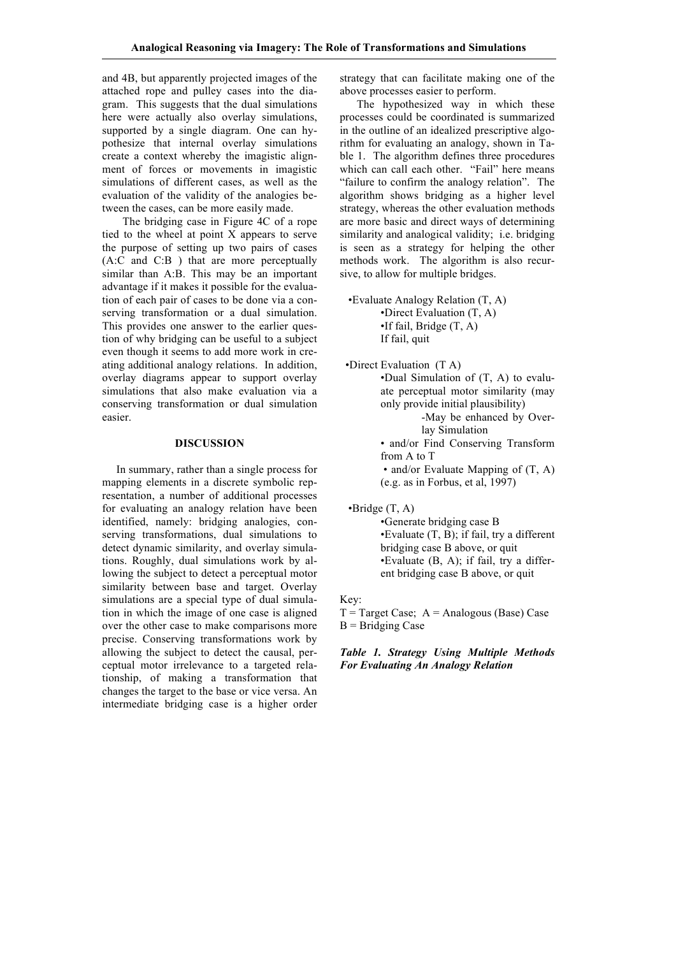and 4B, but apparently projected images of the attached rope and pulley cases into the diagram. This suggests that the dual simulations here were actually also overlay simulations, supported by a single diagram. One can hypothesize that internal overlay simulations create a context whereby the imagistic alignment of forces or movements in imagistic simulations of different cases, as well as the evaluation of the validity of the analogies between the cases, can be more easily made.

The bridging case in Figure 4C of a rope tied to the wheel at point X appears to serve the purpose of setting up two pairs of cases (A:C and C:B ) that are more perceptually similar than A:B. This may be an important advantage if it makes it possible for the evaluation of each pair of cases to be done via a conserving transformation or a dual simulation. This provides one answer to the earlier question of why bridging can be useful to a subject even though it seems to add more work in creating additional analogy relations. In addition, overlay diagrams appear to support overlay simulations that also make evaluation via a conserving transformation or dual simulation easier.

# **DISCUSSION**

 In summary, rather than a single process for mapping elements in a discrete symbolic representation, a number of additional processes for evaluating an analogy relation have been identified, namely: bridging analogies, conserving transformations, dual simulations to detect dynamic similarity, and overlay simulations. Roughly, dual simulations work by allowing the subject to detect a perceptual motor similarity between base and target. Overlay simulations are a special type of dual simulation in which the image of one case is aligned over the other case to make comparisons more precise. Conserving transformations work by allowing the subject to detect the causal, perceptual motor irrelevance to a targeted relationship, of making a transformation that changes the target to the base or vice versa. An intermediate bridging case is a higher order

strategy that can facilitate making one of the above processes easier to perform.

 The hypothesized way in which these processes could be coordinated is summarized in the outline of an idealized prescriptive algorithm for evaluating an analogy, shown in Table 1. The algorithm defines three procedures which can call each other. "Fail" here means "failure to confirm the analogy relation". The algorithm shows bridging as a higher level strategy, whereas the other evaluation methods are more basic and direct ways of determining similarity and analogical validity; i.e. bridging is seen as a strategy for helping the other methods work. The algorithm is also recursive, to allow for multiple bridges.

 •Evaluate Analogy Relation (T, A) •Direct Evaluation (T, A) •If fail, Bridge (T, A) If fail, quit

 •Direct Evaluation (T A) •Dual Simulation of (T, A) to evaluate perceptual motor similarity (may only provide initial plausibility) -May be enhanced by Overlay Simulation • and/or Find Conserving Transform from A to T • and/or Evaluate Mapping of (T, A)

(e.g. as in Forbus, et al, 1997)

 $\bullet$ Bridge  $(T, A)$ 

•Generate bridging case B •Evaluate (T, B); if fail, try a different bridging case B above, or quit •Evaluate (B, A); if fail, try a different bridging case B above, or quit

Key:

 $T = Target Case$ ;  $A = Analogous (Base) Case$  $B = Bridging Case$ 

*Table 1. Strategy Using Multiple Methods For Evaluating An Analogy Relation*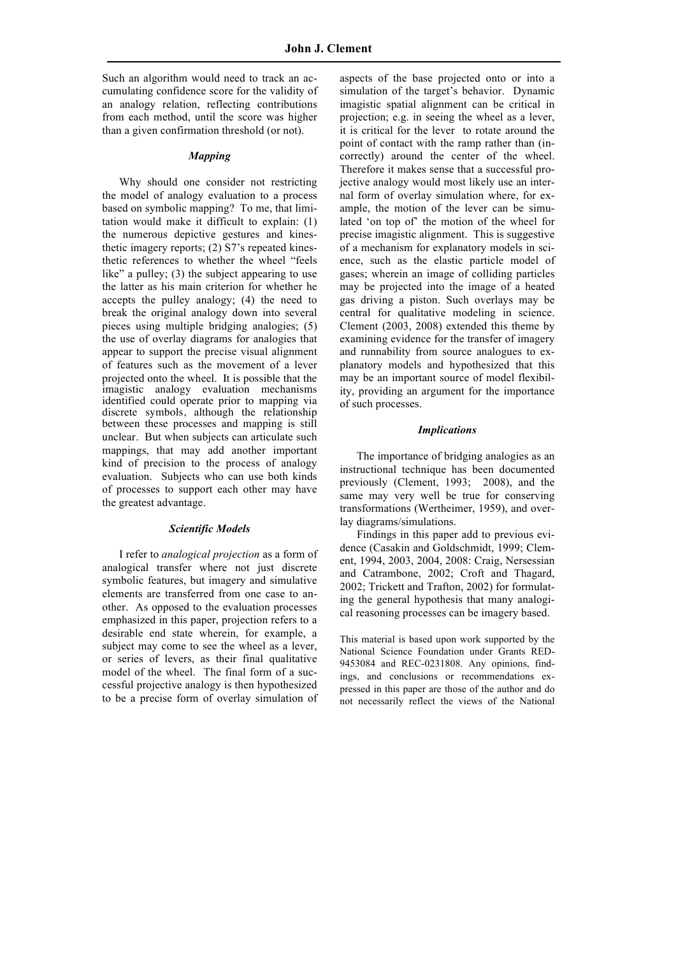Such an algorithm would need to track an accumulating confidence score for the validity of an analogy relation, reflecting contributions from each method, until the score was higher than a given confirmation threshold (or not).

### *Mapping*

 Why should one consider not restricting the model of analogy evaluation to a process based on symbolic mapping? To me, that limitation would make it difficult to explain: (1) the numerous depictive gestures and kinesthetic imagery reports; (2) S7's repeated kinesthetic references to whether the wheel "feels like" a pulley; (3) the subject appearing to use the latter as his main criterion for whether he accepts the pulley analogy; (4) the need to break the original analogy down into several pieces using multiple bridging analogies; (5) the use of overlay diagrams for analogies that appear to support the precise visual alignment of features such as the movement of a lever projected onto the wheel. It is possible that the imagistic analogy evaluation mechanisms identified could operate prior to mapping via discrete symbols, although the relationship between these processes and mapping is still unclear. But when subjects can articulate such mappings, that may add another important kind of precision to the process of analogy evaluation. Subjects who can use both kinds of processes to support each other may have the greatest advantage.

### *Scientific Models*

 I refer to *analogical projection* as a form of analogical transfer where not just discrete symbolic features, but imagery and simulative elements are transferred from one case to another. As opposed to the evaluation processes emphasized in this paper, projection refers to a desirable end state wherein, for example, a subject may come to see the wheel as a lever, or series of levers, as their final qualitative model of the wheel. The final form of a successful projective analogy is then hypothesized to be a precise form of overlay simulation of

aspects of the base projected onto or into a simulation of the target's behavior. Dynamic imagistic spatial alignment can be critical in projection; e.g. in seeing the wheel as a lever, it is critical for the lever to rotate around the point of contact with the ramp rather than (incorrectly) around the center of the wheel. Therefore it makes sense that a successful projective analogy would most likely use an internal form of overlay simulation where, for example, the motion of the lever can be simulated 'on top of' the motion of the wheel for precise imagistic alignment. This is suggestive of a mechanism for explanatory models in science, such as the elastic particle model of gases; wherein an image of colliding particles may be projected into the image of a heated gas driving a piston. Such overlays may be central for qualitative modeling in science. Clement (2003, 2008) extended this theme by examining evidence for the transfer of imagery and runnability from source analogues to explanatory models and hypothesized that this may be an important source of model flexibility, providing an argument for the importance of such processes.

#### *Implications*

 The importance of bridging analogies as an instructional technique has been documented previously (Clement, 1993; 2008), and the same may very well be true for conserving transformations (Wertheimer, 1959), and overlay diagrams/simulations.

 Findings in this paper add to previous evidence (Casakin and Goldschmidt, 1999; Clement, 1994, 2003, 2004, 2008: Craig, Nersessian and Catrambone, 2002; Croft and Thagard, 2002; Trickett and Trafton, 2002) for formulating the general hypothesis that many analogical reasoning processes can be imagery based.

This material is based upon work supported by the National Science Foundation under Grants RED-9453084 and REC-0231808. Any opinions, findings, and conclusions or recommendations expressed in this paper are those of the author and do not necessarily reflect the views of the National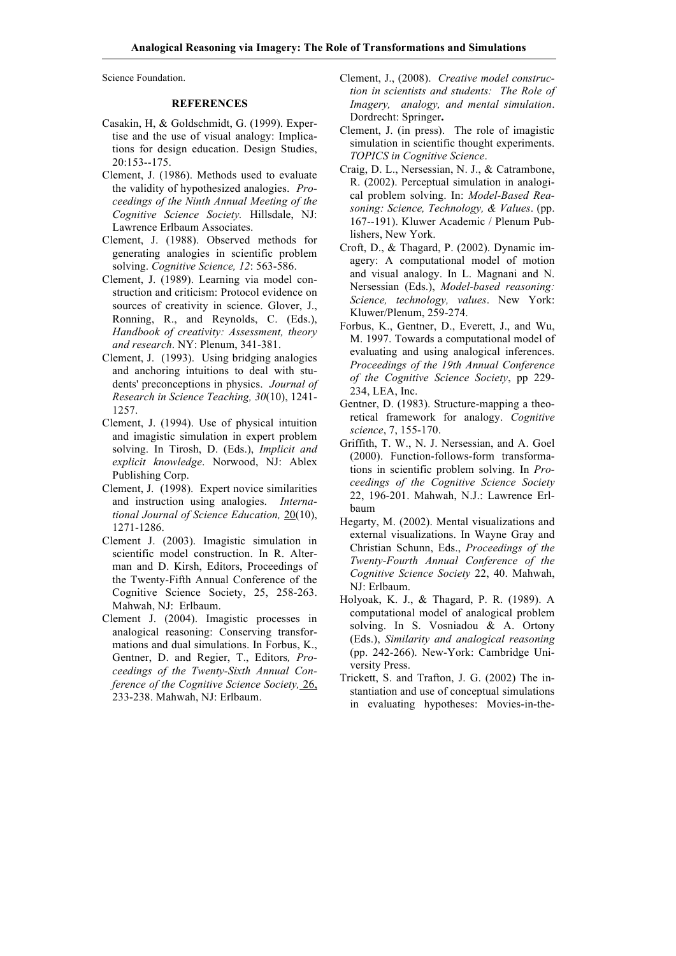Science Foundation.

### **REFERENCES**

- Casakin, H, & Goldschmidt, G. (1999). Expertise and the use of visual analogy: Implications for design education. Design Studies, 20:153--175.
- Clement, J. (1986). Methods used to evaluate the validity of hypothesized analogies. *Proceedings of the Ninth Annual Meeting of the Cognitive Science Society.* Hillsdale, NJ: Lawrence Erlbaum Associates.
- Clement, J. (1988). Observed methods for generating analogies in scientific problem solving. *Cognitive Science, 12*: 563-586.
- Clement, J. (1989). Learning via model construction and criticism: Protocol evidence on sources of creativity in science. Glover, J., Ronning, R., and Reynolds, C. (Eds.), *Handbook of creativity: Assessment, theory and research*. NY: Plenum, 341-381.
- Clement, J. (1993). Using bridging analogies and anchoring intuitions to deal with students' preconceptions in physics. *Journal of Research in Science Teaching, 30*(10), 1241- 1257.
- Clement, J. (1994). Use of physical intuition and imagistic simulation in expert problem solving. In Tirosh, D. (Eds.), *Implicit and explicit knowledge*. Norwood, NJ: Ablex Publishing Corp.
- Clement, J. (1998). Expert novice similarities and instruction using analogies. *International Journal of Science Education,* 20(10), 1271-1286.
- Clement J. (2003). Imagistic simulation in scientific model construction. In R. Alterman and D. Kirsh, Editors, Proceedings of the Twenty-Fifth Annual Conference of the Cognitive Science Society, 25, 258-263. Mahwah, NJ: Erlbaum.
- Clement J. (2004). Imagistic processes in analogical reasoning: Conserving transformations and dual simulations. In Forbus, K., Gentner, D. and Regier, T., Editors*, Proceedings of the Twenty-Sixth Annual Conference of the Cognitive Science Society,* 26, 233-238. Mahwah, NJ: Erlbaum.
- Clement, J., (2008). *Creative model construction in scientists and students: The Role of Imagery, analogy, and mental simulation*. Dordrecht: Springer**.**
- Clement, J. (in press). The role of imagistic simulation in scientific thought experiments. *TOPICS in Cognitive Science*.
- Craig, D. L., Nersessian, N. J., & Catrambone, R. (2002). Perceptual simulation in analogical problem solving. In: *Model-Based Reasoning: Science, Technology, & Values*. (pp. 167--191). Kluwer Academic / Plenum Publishers, New York.
- Croft, D., & Thagard, P. (2002). Dynamic imagery: A computational model of motion and visual analogy. In L. Magnani and N. Nersessian (Eds.), *Model-based reasoning: Science, technology, values*. New York: Kluwer/Plenum, 259-274.
- Forbus, K., Gentner, D., Everett, J., and Wu, M. 1997. Towards a computational model of evaluating and using analogical inferences. *Proceedings of the 19th Annual Conference of the Cognitive Science Society*, pp 229- 234, LEA, Inc.
- Gentner, D. (1983). Structure-mapping a theoretical framework for analogy. *Cognitive science*, 7, 155-170.
- Griffith, T. W., N. J. Nersessian, and A. Goel (2000). Function-follows-form transformations in scientific problem solving. In *Proceedings of the Cognitive Science Society* 22, 196-201. Mahwah, N.J.: Lawrence Erlbaum
- Hegarty, M. (2002). Mental visualizations and external visualizations. In Wayne Gray and Christian Schunn, Eds., *Proceedings of the Twenty-Fourth Annual Conference of the Cognitive Science Society* 22, 40. Mahwah, NJ: Erlbaum.
- Holyoak, K. J., & Thagard, P. R. (1989). A computational model of analogical problem solving. In S. Vosniadou & A. Ortony (Eds.), *Similarity and analogical reasoning* (pp. 242-266). New-York: Cambridge University Press.
- Trickett, S. and Trafton, J. G. (2002) The instantiation and use of conceptual simulations in evaluating hypotheses: Movies-in-the-